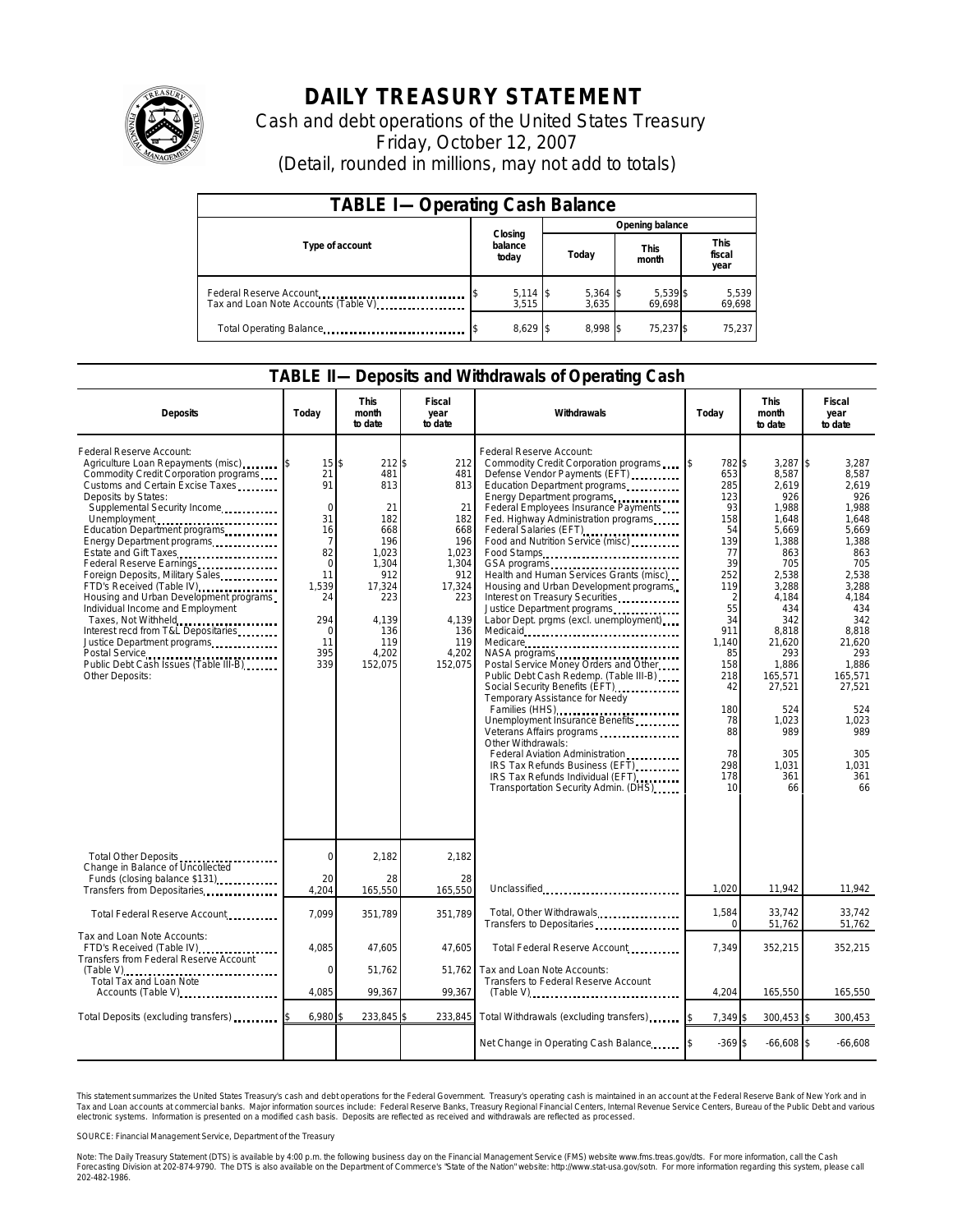

## **DAILY TREASURY STATEMENT**

Cash and debt operations of the United States Treasury Friday, October 12, 2007 (Detail, rounded in millions, may not add to totals)

| <b>TABLE I-Operating Cash Balance</b>                           |                             |                     |                      |                               |  |  |  |
|-----------------------------------------------------------------|-----------------------------|---------------------|----------------------|-------------------------------|--|--|--|
|                                                                 |                             | Opening balance     |                      |                               |  |  |  |
| Type of account                                                 | Closing<br>balance<br>today | Today               | <b>This</b><br>month | <b>This</b><br>fiscal<br>year |  |  |  |
| Federal Reserve Account<br>Tax and Loan Note Accounts (Table V) | $5,114$ \$<br>3.515         | $5,364$ \$<br>3,635 | 5,539 \$<br>69,698   | 5,539<br>69,698               |  |  |  |
| Total Operating Balance                                         | 8,629 \$                    | 8.998 \$            | 75.237 \$            | 75,237                        |  |  |  |

## **TABLE II—Deposits and Withdrawals of Operating Cash**

| <b>Deposits</b>                                                                                                                                                                                                                                                                                                                                                                                                                                                                                                                                                                                                                                | Todav                                                                                                                 | This<br>month<br>to date                                                                                                                   | Fiscal<br>year<br>to date                                                                                                         | Withdrawals                                                                                                                                                                                                                                                                                                                                                                                                                                                                                                                                                                                                                                                                                                                                                                                                                                                                                                                                                                                                                                                                                                                                                                                           | Today                                                                                                                                                                                   | <b>This</b><br>month<br>to date                                                                                                                                                                                                       | Fiscal<br>year<br>to date                                                                                                                                                                                                                    |
|------------------------------------------------------------------------------------------------------------------------------------------------------------------------------------------------------------------------------------------------------------------------------------------------------------------------------------------------------------------------------------------------------------------------------------------------------------------------------------------------------------------------------------------------------------------------------------------------------------------------------------------------|-----------------------------------------------------------------------------------------------------------------------|--------------------------------------------------------------------------------------------------------------------------------------------|-----------------------------------------------------------------------------------------------------------------------------------|-------------------------------------------------------------------------------------------------------------------------------------------------------------------------------------------------------------------------------------------------------------------------------------------------------------------------------------------------------------------------------------------------------------------------------------------------------------------------------------------------------------------------------------------------------------------------------------------------------------------------------------------------------------------------------------------------------------------------------------------------------------------------------------------------------------------------------------------------------------------------------------------------------------------------------------------------------------------------------------------------------------------------------------------------------------------------------------------------------------------------------------------------------------------------------------------------------|-----------------------------------------------------------------------------------------------------------------------------------------------------------------------------------------|---------------------------------------------------------------------------------------------------------------------------------------------------------------------------------------------------------------------------------------|----------------------------------------------------------------------------------------------------------------------------------------------------------------------------------------------------------------------------------------------|
| Federal Reserve Account:<br>Agriculture Loan Repayments (misc)<br>Commodity Credit Corporation programs<br>Customs and Certain Excise Taxes<br>Deposits by States:<br>Supplemental Security Income<br>Unemployment<br>Education Department programs<br>Energy Department programs<br>Estate and Gift Taxes<br>Federal Reserve Earnings<br>Foreign Deposits, Military Sales<br>FTD's Received (Table IV)<br>Housing and Urban Development programs<br>Individual Income and Employment<br>Taxes, Not Withheld<br>Interest recd from T&L Depositaries<br>Justice Department programs<br>Public Debt Cash Issues (Table III-B)<br>Other Deposits: | 15<br>21<br>91<br>$\Omega$<br>31<br>16<br>7<br>82<br>$\mathbf 0$<br>11<br>1.539<br>24<br>294<br>0<br>11<br>395<br>339 | 212 \$<br>\$<br>481<br>813<br>21<br>182<br>668<br>196<br>1.023<br>1,304<br>912<br>17,324<br>223<br>4.139<br>136<br>119<br>4,202<br>152.075 | 212<br>481<br>813<br>21<br>182<br>668<br>196<br>1.023<br>1,304<br>912<br>17,324<br>223<br>4,139<br>136<br>119<br>4,202<br>152,075 | Federal Reserve Account:<br>Commodity Credit Corporation programs<br>Defense Vendor Payments (EFT)<br>Education Department programs<br>Energy Department programs<br>Federal Employees Insurance Payments<br>Fed. Highway Administration programs<br>Federal Salaries (EFT)<br>Food and Nutrition Service (misc)<br>Food Stamps<br>GSA programs<br>unique vertical contract contract contract contract contract contract contract contract contract contract contract contract contract contract contract contract contract contract contract contract contract con<br>Health and Human Services Grants (misc)<br>Housing and Urban Development programs<br>Interest on Treasury Securities<br>Justice Department programs<br>Labor Dept. prgms (excl. unemployment)<br>NASA programs<br>Postal Service Money Orders and Other<br>Public Debt Cash Redemp. (Table III-B)<br>Social Security Benefits (EFT)<br>Temporary Assistance for Needy<br>Families (HHS)<br>Unemployment Insurance Benefits<br>Veterans Affairs programs<br>Other Withdrawals:<br>Federal Aviation Administration<br>IRS Tax Refunds Business (EFT)<br>IRS Tax Refunds Individual (EFT)<br>Transportation Security Admin. (DHS) | 782 \$<br>653<br>285<br>123<br>93<br>158<br>54<br>139<br>77<br>39<br>252<br>119<br>2<br>55<br>34<br>911<br>1.140<br>85<br>158<br>218<br>42<br>180<br>78<br>88<br>78<br>298<br>178<br>10 | 3,287<br>8,587<br>2,619<br>926<br>1.988<br>1,648<br>5,669<br>1,388<br>863<br>705<br>2,538<br>3,288<br>4,184<br>434<br>342<br>8.818<br>21,620<br>293<br>1.886<br>165,571<br>27,521<br>524<br>1,023<br>989<br>305<br>1,031<br>361<br>66 | I\$<br>3.287<br>8.587<br>2,619<br>926<br>1,988<br>1,648<br>5.669<br>1,388<br>863<br>705<br>2,538<br>3.288<br>4,184<br>434<br>342<br>8.818<br>21,620<br>293<br>1.886<br>165.571<br>27,521<br>524<br>1,023<br>989<br>305<br>1,031<br>361<br>66 |
| Total Other Deposits<br>Change in Balance of Uncollected                                                                                                                                                                                                                                                                                                                                                                                                                                                                                                                                                                                       | $\Omega$                                                                                                              | 2,182                                                                                                                                      | 2,182                                                                                                                             |                                                                                                                                                                                                                                                                                                                                                                                                                                                                                                                                                                                                                                                                                                                                                                                                                                                                                                                                                                                                                                                                                                                                                                                                       |                                                                                                                                                                                         |                                                                                                                                                                                                                                       |                                                                                                                                                                                                                                              |
| Funds (closing balance \$131)<br>Transfers from Depositaries                                                                                                                                                                                                                                                                                                                                                                                                                                                                                                                                                                                   | 20<br>4.204                                                                                                           | 28<br>165,550                                                                                                                              | 28<br>165,550                                                                                                                     | Unclassified                                                                                                                                                                                                                                                                                                                                                                                                                                                                                                                                                                                                                                                                                                                                                                                                                                                                                                                                                                                                                                                                                                                                                                                          | 1,020                                                                                                                                                                                   | 11,942                                                                                                                                                                                                                                | 11,942                                                                                                                                                                                                                                       |
| Total Federal Reserve Account                                                                                                                                                                                                                                                                                                                                                                                                                                                                                                                                                                                                                  | 7.099                                                                                                                 | 351.789                                                                                                                                    | 351.789                                                                                                                           | Total, Other Withdrawals<br>Transfers to Depositaries                                                                                                                                                                                                                                                                                                                                                                                                                                                                                                                                                                                                                                                                                                                                                                                                                                                                                                                                                                                                                                                                                                                                                 | 1,584<br>$\Omega$                                                                                                                                                                       | 33,742<br>51,762                                                                                                                                                                                                                      | 33,742<br>51,762                                                                                                                                                                                                                             |
| Tax and Loan Note Accounts:<br>FTD's Received (Table IV)<br>Transfers from Federal Reserve Account                                                                                                                                                                                                                                                                                                                                                                                                                                                                                                                                             | 4.085                                                                                                                 | 47.605                                                                                                                                     | 47.605                                                                                                                            | Total Federal Reserve Account.                                                                                                                                                                                                                                                                                                                                                                                                                                                                                                                                                                                                                                                                                                                                                                                                                                                                                                                                                                                                                                                                                                                                                                        | 7.349                                                                                                                                                                                   | 352,215                                                                                                                                                                                                                               | 352,215                                                                                                                                                                                                                                      |
| (Table V)<br>Total Tax and Loan Note<br>Accounts (Table V)                                                                                                                                                                                                                                                                                                                                                                                                                                                                                                                                                                                     | $\mathbf 0$<br>4.085                                                                                                  | 51,762<br>99,367                                                                                                                           | 51,762<br>99,367                                                                                                                  | Tax and Loan Note Accounts:<br>Transfers to Federal Reserve Account                                                                                                                                                                                                                                                                                                                                                                                                                                                                                                                                                                                                                                                                                                                                                                                                                                                                                                                                                                                                                                                                                                                                   | 4,204                                                                                                                                                                                   | 165,550                                                                                                                                                                                                                               | 165,550                                                                                                                                                                                                                                      |
|                                                                                                                                                                                                                                                                                                                                                                                                                                                                                                                                                                                                                                                |                                                                                                                       |                                                                                                                                            |                                                                                                                                   |                                                                                                                                                                                                                                                                                                                                                                                                                                                                                                                                                                                                                                                                                                                                                                                                                                                                                                                                                                                                                                                                                                                                                                                                       |                                                                                                                                                                                         |                                                                                                                                                                                                                                       |                                                                                                                                                                                                                                              |
| Total Deposits (excluding transfers)                                                                                                                                                                                                                                                                                                                                                                                                                                                                                                                                                                                                           | 6,980                                                                                                                 | 233,845                                                                                                                                    | 233,845                                                                                                                           | Total Withdrawals (excluding transfers)                                                                                                                                                                                                                                                                                                                                                                                                                                                                                                                                                                                                                                                                                                                                                                                                                                                                                                                                                                                                                                                                                                                                                               | 7,349 \$                                                                                                                                                                                | 300,453 \$                                                                                                                                                                                                                            | 300,453                                                                                                                                                                                                                                      |
|                                                                                                                                                                                                                                                                                                                                                                                                                                                                                                                                                                                                                                                |                                                                                                                       |                                                                                                                                            |                                                                                                                                   | Net Change in Operating Cash Balance                                                                                                                                                                                                                                                                                                                                                                                                                                                                                                                                                                                                                                                                                                                                                                                                                                                                                                                                                                                                                                                                                                                                                                  | $-369S$                                                                                                                                                                                 | $-66,608$ \$                                                                                                                                                                                                                          | $-66,608$                                                                                                                                                                                                                                    |

This statement summarizes the United States Treasury's cash and debt operations for the Federal Government. Treasury's operating cash is maintained in an account at the Federal Reserve Bank of New York and in<br>Tax and Loan narizes the United States Treasury's cash and debt operations for the Federal Government. Treasury's operating cash is maintained in an account at the Federal Reserve Bank of New York and in<br>ints at commercial banks. Major

SOURCE: Financial Management Service, Department of the Treasury

Note: The Daily Treasury Statement (DTS) is available by 4:00 p.m. the following business day on the Financial Management Service (FMS) website www.fms.treas.gov/dts. For more information, call the Cash<br>Forecasting Divisio 202-482-1986.